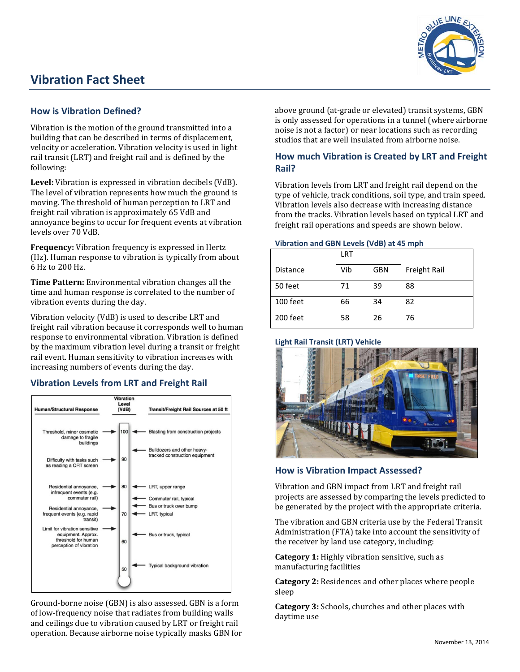# **Vibration Fact Sheet**



## **How is Vibration Defined?**

Vibration is the motion of the ground transmitted into a building that can be described in terms of displacement, velocity or acceleration. Vibration velocity is used in light rail transit (LRT) and freight rail and is defined by the following:

**Level:** Vibration is expressed in vibration decibels (VdB). The level of vibration represents how much the ground is moving. The threshold of human perception to LRT and freight rail vibration is approximately 65 VdB and annoyance begins to occur for frequent events at vibration levels over 70 VdB.

**Frequency:** Vibration frequency is expressed in Hertz (Hz). Human response to vibration is typically from about 6 Hz to 200 Hz.

**Time Pattern:** Environmental vibration changes all the time and human response is correlated to the number of vibration events during the day.

Vibration velocity (VdB) is used to describe LRT and freight rail vibration because it corresponds well to human response to environmental vibration. Vibration is defined by the maximum vibration level during a transit or freight rail event. Human sensitivity to vibration increases with increasing numbers of events during the day.

# **Vibration Levels from LRT and Freight Rail**



Ground-borne noise (GBN) is also assessed. GBN is a form of low-frequency noise that radiates from building walls and ceilings due to vibration caused by LRT or freight rail operation. Because airborne noise typically masks GBN for above ground (at-grade or elevated) transit systems, GBN is only assessed for operations in a tunnel (where airborne noise is not a factor) or near locations such as recording studios that are well insulated from airborne noise.

# **How much Vibration is Created by LRT and Freight Rail?**

Vibration levels from LRT and freight rail depend on the type of vehicle, track conditions, soil type, and train speed. Vibration levels also decrease with increasing distance from the tracks. Vibration levels based on typical LRT and freight rail operations and speeds are shown below.

#### **Vibration and GBN Levels (VdB) at 45 mph**

|          | <b>LRT</b> |            |              |
|----------|------------|------------|--------------|
| Distance | Vib        | <b>GBN</b> | Freight Rail |
| 50 feet  | 71         | 39         | 88           |
| 100 feet | 66         | 34         | 82           |
| 200 feet | 58         | 26         | 76           |

## **Light Rail Transit (LRT) Vehicle**



**How is Vibration Impact Assessed?**

Vibration and GBN impact from LRT and freight rail projects are assessed by comparing the levels predicted to be generated by the project with the appropriate criteria.

The vibration and GBN criteria use by the Federal Transit Administration (FTA) take into account the sensitivity of the receiver by land use category, including:

**Category 1:** Highly vibration sensitive, such as manufacturing facilities

**Category 2:** Residences and other places where people sleep

**Category 3:** Schools, churches and other places with daytime use